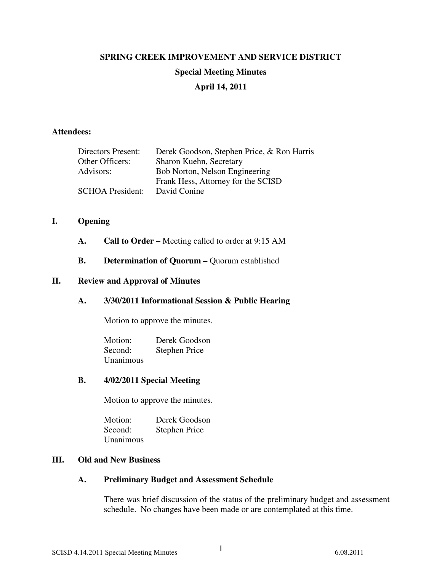# **SPRING CREEK IMPROVEMENT AND SERVICE DISTRICT Special Meeting Minutes April 14, 2011**

#### **Attendees:**

| <b>Directors Present:</b> | Derek Goodson, Stephen Price, & Ron Harris |
|---------------------------|--------------------------------------------|
| Other Officers:           | Sharon Kuehn, Secretary                    |
| Advisors:                 | Bob Norton, Nelson Engineering             |
|                           | Frank Hess, Attorney for the SCISD         |
| <b>SCHOA President:</b>   | David Conine                               |

#### **I. Opening**

- **A. Call to Order** Meeting called to order at 9:15 AM
- **B. Determination of Quorum –** Quorum established

#### **II. Review and Approval of Minutes**

## **A. 3/30/2011 Informational Session & Public Hearing**

Motion to approve the minutes.

Motion: Derek Goodson Second: Stephen Price Unanimous

#### **B. 4/02/2011 Special Meeting**

Motion to approve the minutes.

Motion: Derek Goodson Second: Stephen Price Unanimous

## **III. Old and New Business**

## **A. Preliminary Budget and Assessment Schedule**

There was brief discussion of the status of the preliminary budget and assessment schedule. No changes have been made or are contemplated at this time.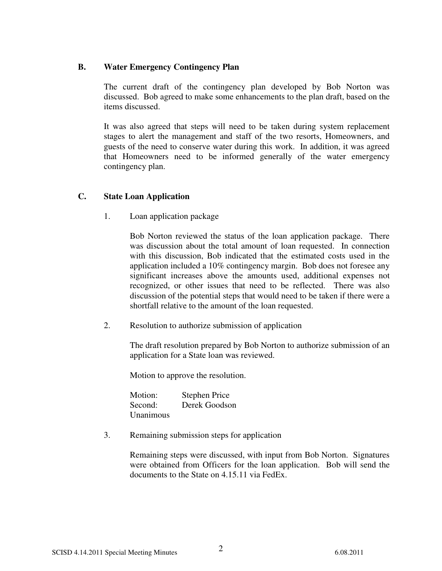# **B. Water Emergency Contingency Plan**

The current draft of the contingency plan developed by Bob Norton was discussed. Bob agreed to make some enhancements to the plan draft, based on the items discussed.

It was also agreed that steps will need to be taken during system replacement stages to alert the management and staff of the two resorts, Homeowners, and guests of the need to conserve water during this work. In addition, it was agreed that Homeowners need to be informed generally of the water emergency contingency plan.

# **C. State Loan Application**

1. Loan application package

Bob Norton reviewed the status of the loan application package. There was discussion about the total amount of loan requested. In connection with this discussion, Bob indicated that the estimated costs used in the application included a 10% contingency margin. Bob does not foresee any significant increases above the amounts used, additional expenses not recognized, or other issues that need to be reflected. There was also discussion of the potential steps that would need to be taken if there were a shortfall relative to the amount of the loan requested.

2. Resolution to authorize submission of application

The draft resolution prepared by Bob Norton to authorize submission of an application for a State loan was reviewed.

Motion to approve the resolution.

| Motion:   | <b>Stephen Price</b> |
|-----------|----------------------|
| Second:   | Derek Goodson        |
| Unanimous |                      |

3. Remaining submission steps for application

Remaining steps were discussed, with input from Bob Norton. Signatures were obtained from Officers for the loan application. Bob will send the documents to the State on 4.15.11 via FedEx.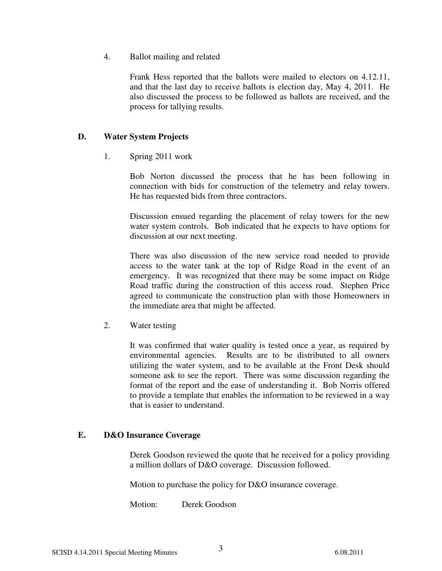4. Ballot mailing and related

Frank Hess reported that the ballots were mailed to electors on 4.12.11, and that the last day to receive ballots is election day, May 4, 2011. He also discussed the process to be followed as ballots are received, and the process for tallying results.

# **D. Water System Projects**

1. Spring 2011 work

Bob Norton discussed the process that he has been following in connection with bids for construction of the telemetry and relay towers. He has requested bids from three contractors.

Discussion ensued regarding the placement of relay towers for the new water system controls. Bob indicated that he expects to have options for discussion at our next meeting.

There was also discussion of the new service road needed to provide access to the water tank at the top of Ridge Road in the event of an emergency. It was recognized that there may be some impact on Ridge Road traffic during the construction of this access road. Stephen Price agreed to communicate the construction plan with those Homeowners in the immediate area that might be affected.

2. Water testing

It was confirmed that water quality is tested once a year, as required by environmental agencies. Results are to be distributed to all owners utilizing the water system, and to be available at the Front Desk should someone ask to see the report. There was some discussion regarding the format of the report and the ease of understanding it. Bob Norris offered to provide a template that enables the information to be reviewed in a way that is easier to understand.

## **E. D&O Insurance Coverage**

Derek Goodson reviewed the quote that he received for a policy providing a million dollars of D&O coverage. Discussion followed.

Motion to purchase the policy for D&O insurance coverage.

Motion: Derek Goodson